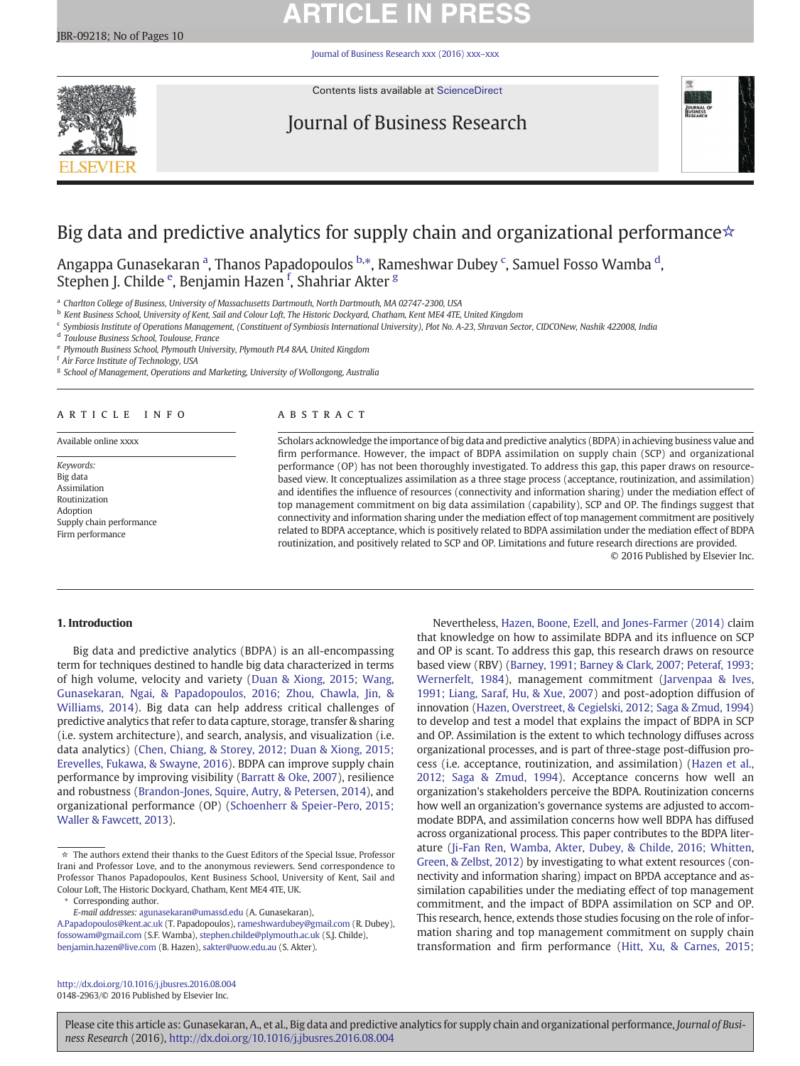# **ARTICLE IN PRESS**

[Journal of Business Research xxx \(2016\) xxx](http://dx.doi.org/10.1016/j.jbusres.2016.08.004)–xxx



Contents lists available at [ScienceDirect](http://www.sciencedirect.com/science/journal/01482963)

## Journal of Business Research



## Big data and predictive analytics for supply chain and organizational performance☆

Angappa Gunasekaran <sup>a</sup>, Thanos Papadopoulos <sup>b,</sup>\*, Rameshwar Dubey <sup>c</sup>, Samuel Fosso Wamba <sup>d</sup>, Stephen J. Childe <sup>e</sup>, Benjamin Hazen <sup>f</sup>, Shahriar Akter <sup>g</sup>

a Charlton College of Business, University of Massachusetts Dartmouth, North Dartmouth, MA 02747-2300, USA

<sup>b</sup> Kent Business School, University of Kent, Sail and Colour Loft, The Historic Dockyard, Chatham, Kent ME4 4TE, United Kingdom

<sup>c</sup> Symbiosis Institute of Operations Management, (Constituent of Symbiosis International University), Plot No. A-23, Shravan Sector, CIDCONew, Nashik 422008, India

<sup>d</sup> Toulouse Business School, Toulouse, France

<sup>e</sup> Plymouth Business School, Plymouth University, Plymouth PL4 8AA, United Kingdom

<sup>f</sup> Air Force Institute of Technology, USA

<sup>g</sup> School of Management, Operations and Marketing, University of Wollongong, Australia

### article info abstract

Keywords: Big data Assimilation Routinization Adoption Supply chain performance Firm performance

Available online xxxx section and Scholars acknowledge the importance of big data and predictive analytics (BDPA) in achieving business value and Scholars acknowledge the importance of big data and predictive analytics (BD firm performance. However, the impact of BDPA assimilation on supply chain (SCP) and organizational performance (OP) has not been thoroughly investigated. To address this gap, this paper draws on resourcebased view. It conceptualizes assimilation as a three stage process (acceptance, routinization, and assimilation) and identifies the influence of resources (connectivity and information sharing) under the mediation effect of top management commitment on big data assimilation (capability), SCP and OP. The findings suggest that connectivity and information sharing under the mediation effect of top management commitment are positively related to BDPA acceptance, which is positively related to BDPA assimilation under the mediation effect of BDPA routinization, and positively related to SCP and OP. Limitations and future research directions are provided. © 2016 Published by Elsevier Inc.

1. Introduction

Big data and predictive analytics (BDPA) is an all-encompassing term for techniques destined to handle big data characterized in terms of high volume, velocity and variety [\(Duan & Xiong, 2015; Wang,](#page-8-0) [Gunasekaran, Ngai, & Papadopoulos, 2016; Zhou, Chawla, Jin, &](#page-8-0) [Williams, 2014\)](#page-8-0). Big data can help address critical challenges of predictive analytics that refer to data capture, storage, transfer & sharing (i.e. system architecture), and search, analysis, and visualization (i.e. data analytics) [\(Chen, Chiang, & Storey, 2012; Duan & Xiong, 2015;](#page-8-0) [Erevelles, Fukawa, & Swayne, 2016\)](#page-8-0). BDPA can improve supply chain performance by improving visibility ([Barratt & Oke, 2007](#page-8-0)), resilience and robustness [\(Brandon-Jones, Squire, Autry, & Petersen, 2014\)](#page-8-0), and organizational performance (OP) ([Schoenherr & Speier-Pero, 2015;](#page-9-0) [Waller & Fawcett, 2013](#page-9-0)).

Corresponding author.

E-mail addresses: agunasekaran@umassd.edu (A. Gunasekaran),

<http://dx.doi.org/10.1016/j.jbusres.2016.08.004> 0148-2963/© 2016 Published by Elsevier Inc.

Nevertheless, [Hazen, Boone, Ezell, and Jones-Farmer \(2014\)](#page-8-0) claim that knowledge on how to assimilate BDPA and its influence on SCP and OP is scant. To address this gap, this research draws on resource based view (RBV) [\(Barney, 1991; Barney & Clark, 2007; Peteraf, 1993;](#page-8-0) [Wernerfelt, 1984\)](#page-8-0), management commitment [\(Jarvenpaa & Ives,](#page-9-0) [1991; Liang, Saraf, Hu, & Xue, 2007](#page-9-0)) and post-adoption diffusion of innovation ([Hazen, Overstreet, & Cegielski, 2012; Saga & Zmud, 1994](#page-8-0)) to develop and test a model that explains the impact of BDPA in SCP and OP. Assimilation is the extent to which technology diffuses across organizational processes, and is part of three-stage post-diffusion process (i.e. acceptance, routinization, and assimilation) [\(Hazen et al.,](#page-8-0) [2012; Saga & Zmud, 1994\)](#page-8-0). Acceptance concerns how well an organization's stakeholders perceive the BDPA. Routinization concerns how well an organization's governance systems are adjusted to accommodate BDPA, and assimilation concerns how well BDPA has diffused across organizational process. This paper contributes to the BDPA literature ([Ji-Fan Ren, Wamba, Akter, Dubey, & Childe, 2016; Whitten,](#page-9-0) [Green, & Zelbst, 2012\)](#page-9-0) by investigating to what extent resources (connectivity and information sharing) impact on BPDA acceptance and assimilation capabilities under the mediating effect of top management commitment, and the impact of BDPA assimilation on SCP and OP. This research, hence, extends those studies focusing on the role of information sharing and top management commitment on supply chain transformation and firm performance ([Hitt, Xu, & Carnes, 2015;](#page-8-0)

<sup>☆</sup> The authors extend their thanks to the Guest Editors of the Special Issue, Professor Irani and Professor Love, and to the anonymous reviewers. Send correspondence to Professor Thanos Papadopoulos, Kent Business School, University of Kent, Sail and Colour Loft, The Historic Dockyard, Chatham, Kent ME4 4TE, UK.

A.Papadopoulos@kent.ac.uk (T. Papadopoulos), rameshwardubey@gmail.com (R. Dubey), [fossowam@gmail.com](mailto:fossowam@gmail.com) (S.F. Wamba), stephen.childe@plymouth.ac.uk (S.J. Childe), benjamin.hazen@live.com (B. Hazen), [sakter@uow.edu.au](mailto:sakter@uow.edu.au) (S. Akter).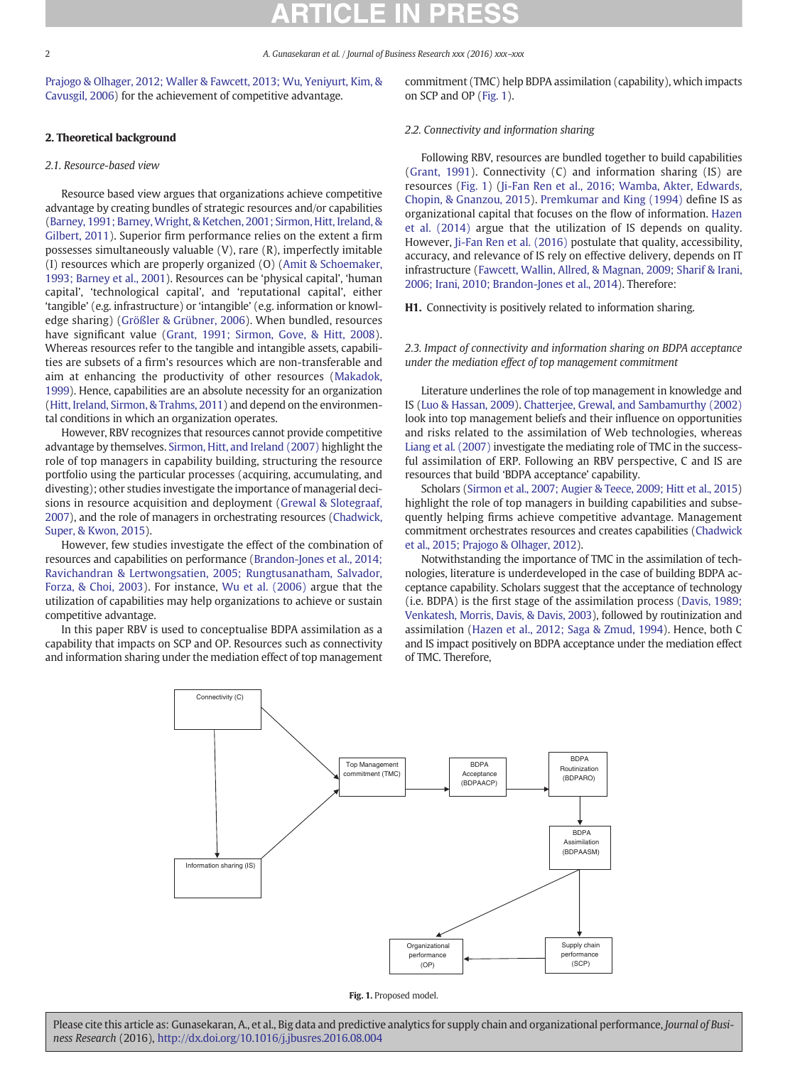<span id="page-1-0"></span>[Prajogo & Olhager, 2012; Waller & Fawcett, 2013; Wu, Yeniyurt, Kim, &](#page-8-0) [Cavusgil, 2006\)](#page-8-0) for the achievement of competitive advantage.

### 2. Theoretical background

### 2.1. Resource-based view

Resource based view argues that organizations achieve competitive advantage by creating bundles of strategic resources and/or capabilities [\(Barney, 1991; Barney, Wright, & Ketchen, 2001; Sirmon, Hitt, Ireland, &](#page-8-0) [Gilbert, 2011](#page-8-0)). Superior firm performance relies on the extent a firm possesses simultaneously valuable (V), rare (R), imperfectly imitable (I) resources which are properly organized (O) ([Amit & Schoemaker,](#page-8-0) [1993; Barney et al., 2001](#page-8-0)). Resources can be 'physical capital', 'human capital', 'technological capital', and 'reputational capital', either 'tangible' (e.g. infrastructure) or 'intangible' (e.g. information or knowledge sharing) ([Größler & Grübner, 2006\)](#page-8-0). When bundled, resources have significant value ([Grant, 1991; Sirmon, Gove, & Hitt, 2008](#page-8-0)). Whereas resources refer to the tangible and intangible assets, capabilities are subsets of a firm's resources which are non-transferable and aim at enhancing the productivity of other resources [\(Makadok,](#page-9-0) [1999\)](#page-9-0). Hence, capabilities are an absolute necessity for an organization [\(Hitt, Ireland, Sirmon, & Trahms, 2011](#page-8-0)) and depend on the environmental conditions in which an organization operates.

However, RBV recognizes that resources cannot provide competitive advantage by themselves. [Sirmon, Hitt, and Ireland \(2007\)](#page-9-0) highlight the role of top managers in capability building, structuring the resource portfolio using the particular processes (acquiring, accumulating, and divesting); other studies investigate the importance of managerial decisions in resource acquisition and deployment ([Grewal & Slotegraaf,](#page-8-0) [2007\)](#page-8-0), and the role of managers in orchestrating resources [\(Chadwick,](#page-8-0) [Super, & Kwon, 2015](#page-8-0)).

However, few studies investigate the effect of the combination of resources and capabilities on performance [\(Brandon-Jones et al., 2014;](#page-8-0) [Ravichandran & Lertwongsatien, 2005; Rungtusanatham, Salvador,](#page-8-0) [Forza, & Choi, 2003\)](#page-8-0). For instance, [Wu et al. \(2006\)](#page-9-0) argue that the utilization of capabilities may help organizations to achieve or sustain competitive advantage.

In this paper RBV is used to conceptualise BDPA assimilation as a capability that impacts on SCP and OP. Resources such as connectivity and information sharing under the mediation effect of top management commitment (TMC) help BDPA assimilation (capability), which impacts on SCP and OP (Fig. 1).

### 2.2. Connectivity and information sharing

Following RBV, resources are bundled together to build capabilities [\(Grant, 1991\)](#page-8-0). Connectivity (C) and information sharing (IS) are resources (Fig. 1) [\(Ji-Fan Ren et al., 2016; Wamba, Akter, Edwards,](#page-9-0) [Chopin, & Gnanzou, 2015\)](#page-9-0). [Premkumar and King \(1994\)](#page-9-0) define IS as organizational capital that focuses on the flow of information. [Hazen](#page-8-0) [et al. \(2014\)](#page-8-0) argue that the utilization of IS depends on quality. However, [Ji-Fan Ren et al. \(2016\)](#page-9-0) postulate that quality, accessibility, accuracy, and relevance of IS rely on effective delivery, depends on IT infrastructure [\(Fawcett, Wallin, Allred, & Magnan, 2009; Sharif & Irani,](#page-8-0) [2006; Irani, 2010; Brandon-Jones et al., 2014\)](#page-8-0). Therefore:

H1. Connectivity is positively related to information sharing.

2.3. Impact of connectivity and information sharing on BDPA acceptance under the mediation effect of top management commitment

Literature underlines the role of top management in knowledge and IS ([Luo & Hassan, 2009](#page-9-0)). [Chatterjee, Grewal, and Sambamurthy \(2002\)](#page-8-0) look into top management beliefs and their influence on opportunities and risks related to the assimilation of Web technologies, whereas [Liang et al. \(2007\)](#page-9-0) investigate the mediating role of TMC in the successful assimilation of ERP. Following an RBV perspective, C and IS are resources that build 'BDPA acceptance' capability.

Scholars [\(Sirmon et al., 2007; Augier & Teece, 2009; Hitt et al., 2015](#page-9-0)) highlight the role of top managers in building capabilities and subsequently helping firms achieve competitive advantage. Management commitment orchestrates resources and creates capabilities [\(Chadwick](#page-8-0) [et al., 2015; Prajogo & Olhager, 2012](#page-8-0)).

Notwithstanding the importance of TMC in the assimilation of technologies, literature is underdeveloped in the case of building BDPA acceptance capability. Scholars suggest that the acceptance of technology (i.e. BDPA) is the first stage of the assimilation process ([Davis, 1989;](#page-8-0) [Venkatesh, Morris, Davis, & Davis, 2003\)](#page-8-0), followed by routinization and assimilation ([Hazen et al., 2012; Saga & Zmud, 1994\)](#page-8-0). Hence, both C and IS impact positively on BDPA acceptance under the mediation effect of TMC. Therefore,



Fig. 1. Proposed model.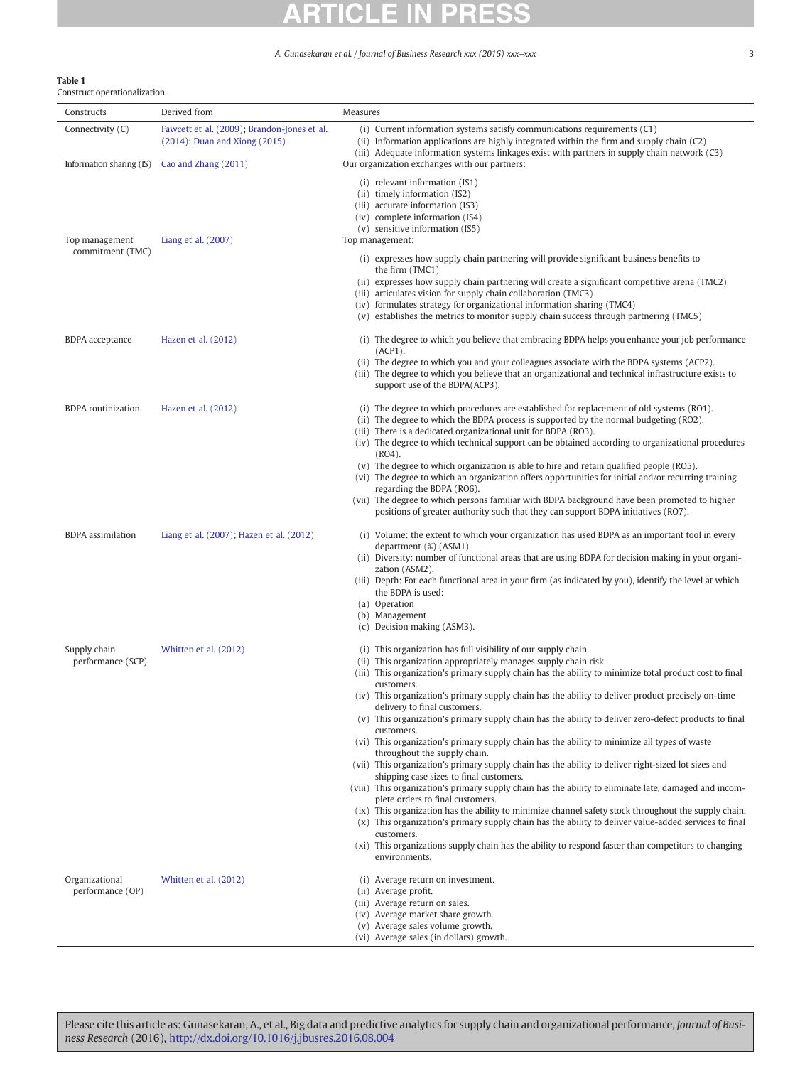# A

### A. Gunasekaran et al. / Journal of Business Research xxx (2016) xxx-xxx 3

#### <span id="page-2-0"></span>Table 1

Construct operationalization.

| Constructs                         | Derived from                                                                 | Measures                                                                                                                                                                                                                                                                                                                                                                                                                                                                                                                                                |
|------------------------------------|------------------------------------------------------------------------------|---------------------------------------------------------------------------------------------------------------------------------------------------------------------------------------------------------------------------------------------------------------------------------------------------------------------------------------------------------------------------------------------------------------------------------------------------------------------------------------------------------------------------------------------------------|
| Connectivity (C)                   | Fawcett et al. (2009); Brandon-Jones et al.<br>(2014); Duan and Xiong (2015) | (i) Current information systems satisfy communications requirements (C1)<br>(ii) Information applications are highly integrated within the firm and supply chain (C2)<br>(iii) Adequate information systems linkages exist with partners in supply chain network (C3)                                                                                                                                                                                                                                                                                   |
| Information sharing (IS)           | Cao and Zhang (2011)                                                         | Our organization exchanges with our partners:                                                                                                                                                                                                                                                                                                                                                                                                                                                                                                           |
| Top management<br>commitment (TMC) | Liang et al. (2007)                                                          | (i) relevant information (IS1)<br>(ii) timely information (IS2)<br>(iii) accurate information (IS3)<br>(iv) complete information (IS4)<br>(v) sensitive information (IS5)<br>Top management:<br>(i) expresses how supply chain partnering will provide significant business benefits to<br>the firm (TMC1)<br>(ii) expresses how supply chain partnering will create a significant competitive arena (TMC2)<br>(iii) articulates vision for supply chain collaboration (TMC3)<br>(iv) formulates strategy for organizational information sharing (TMC4) |
|                                    |                                                                              | (v) establishes the metrics to monitor supply chain success through partnering (TMC5)                                                                                                                                                                                                                                                                                                                                                                                                                                                                   |
| <b>BDPA</b> acceptance             | Hazen et al. (2012)                                                          | (i) The degree to which you believe that embracing BDPA helps you enhance your job performance<br>(ACP1).                                                                                                                                                                                                                                                                                                                                                                                                                                               |
|                                    |                                                                              | (ii) The degree to which you and your colleagues associate with the BDPA systems (ACP2).<br>(iii) The degree to which you believe that an organizational and technical infrastructure exists to<br>support use of the BDPA(ACP3).                                                                                                                                                                                                                                                                                                                       |
| <b>BDPA</b> routinization          | Hazen et al. (2012)                                                          | (i) The degree to which procedures are established for replacement of old systems (RO1).<br>(ii) The degree to which the BDPA process is supported by the normal budgeting (RO2).<br>(iii) There is a dedicated organizational unit for BDPA (RO3).<br>(iv) The degree to which technical support can be obtained according to organizational procedures<br>$(RO4)$ .<br>(v) The degree to which organization is able to hire and retain qualified people (RO5).                                                                                        |
|                                    |                                                                              | (vi) The degree to which an organization offers opportunities for initial and/or recurring training<br>regarding the BDPA (RO6).                                                                                                                                                                                                                                                                                                                                                                                                                        |
|                                    |                                                                              | (vii) The degree to which persons familiar with BDPA background have been promoted to higher<br>positions of greater authority such that they can support BDPA initiatives (RO7).                                                                                                                                                                                                                                                                                                                                                                       |
| <b>BDPA</b> assimilation           | Liang et al. (2007); Hazen et al. (2012)                                     | (i) Volume: the extent to which your organization has used BDPA as an important tool in every<br>department (%) (ASM1).                                                                                                                                                                                                                                                                                                                                                                                                                                 |
|                                    |                                                                              | (ii) Diversity: number of functional areas that are using BDPA for decision making in your organi-<br>zation (ASM2).<br>(iii) Depth: For each functional area in your firm (as indicated by you), identify the level at which                                                                                                                                                                                                                                                                                                                           |
|                                    |                                                                              | the BDPA is used:<br>(a) Operation                                                                                                                                                                                                                                                                                                                                                                                                                                                                                                                      |
|                                    |                                                                              | (b) Management<br>(c) Decision making (ASM3).                                                                                                                                                                                                                                                                                                                                                                                                                                                                                                           |
| Supply chain<br>performance (SCP)  | Whitten et al. (2012)                                                        | (i) This organization has full visibility of our supply chain<br>(ii) This organization appropriately manages supply chain risk<br>(iii) This organization's primary supply chain has the ability to minimize total product cost to final                                                                                                                                                                                                                                                                                                               |
|                                    |                                                                              | customers.<br>(iv) This organization's primary supply chain has the ability to deliver product precisely on-time                                                                                                                                                                                                                                                                                                                                                                                                                                        |
|                                    |                                                                              | delivery to final customers.<br>(v) This organization's primary supply chain has the ability to deliver zero-defect products to final<br>customers.                                                                                                                                                                                                                                                                                                                                                                                                     |
|                                    |                                                                              | (vi) This organization's primary supply chain has the ability to minimize all types of waste<br>throughout the supply chain.                                                                                                                                                                                                                                                                                                                                                                                                                            |
|                                    |                                                                              | (vii) This organization's primary supply chain has the ability to deliver right-sized lot sizes and<br>shipping case sizes to final customers.                                                                                                                                                                                                                                                                                                                                                                                                          |
|                                    |                                                                              | (viii) This organization's primary supply chain has the ability to eliminate late, damaged and incom-<br>plete orders to final customers.                                                                                                                                                                                                                                                                                                                                                                                                               |
|                                    |                                                                              | (ix) This organization has the ability to minimize channel safety stock throughout the supply chain.<br>(x) This organization's primary supply chain has the ability to deliver value-added services to final<br>customers.                                                                                                                                                                                                                                                                                                                             |
|                                    |                                                                              | (xi) This organizations supply chain has the ability to respond faster than competitors to changing<br>environments.                                                                                                                                                                                                                                                                                                                                                                                                                                    |
| Organizational<br>performance (OP) | Whitten et al. (2012)                                                        | (i) Average return on investment.<br>(ii) Average profit.<br>(iii) Average return on sales.<br>(iv) Average market share growth.                                                                                                                                                                                                                                                                                                                                                                                                                        |
|                                    |                                                                              | (v) Average sales volume growth.<br>(vi) Average sales (in dollars) growth.                                                                                                                                                                                                                                                                                                                                                                                                                                                                             |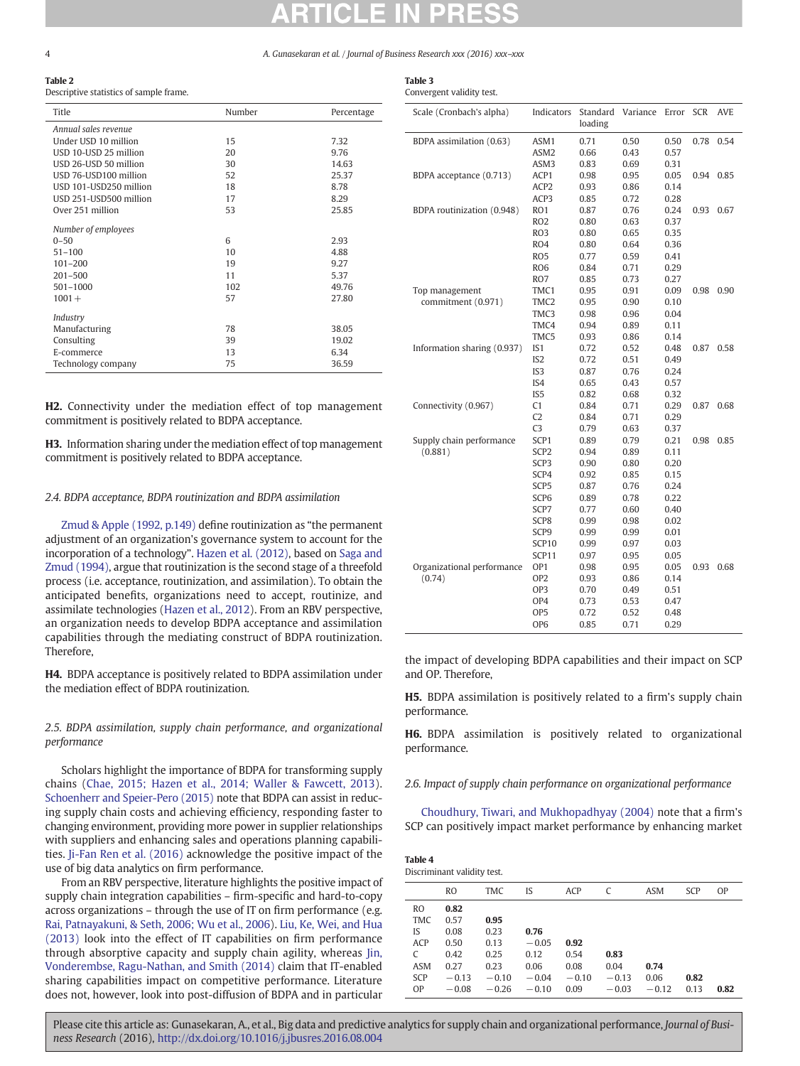Table 3

Convergent validity test.

<span id="page-3-0"></span>Table 2 Descriptive statistics of sample frame.

| Title                  | Number | Percentage |
|------------------------|--------|------------|
| Annual sales revenue   |        |            |
| Under USD 10 million   | 15     | 7.32       |
| USD 10-USD 25 million  | 20     | 9.76       |
| USD 26-USD 50 million  | 30     | 14.63      |
| USD 76-USD100 million  | 52     | 25.37      |
| USD 101-USD250 million | 18     | 8.78       |
| USD 251-USD500 million | 17     | 8.29       |
| Over 251 million       | 53     | 25.85      |
| Number of employees    |        |            |
| $0 - 50$               | 6      | 2.93       |
| $51 - 100$             | 10     | 4.88       |
| $101 - 200$            | 19     | 9.27       |
| $201 - 500$            | 11     | 5.37       |
| 501-1000               | 102    | 49.76      |
| $1001 +$               | 57     | 27.80      |
| Industry               |        |            |
| Manufacturing          | 78     | 38.05      |
| Consulting             | 39     | 19.02      |
| E-commerce             | 13     | 6.34       |
| Technology company     | 75     | 36.59      |

H2. Connectivity under the mediation effect of top management commitment is positively related to BDPA acceptance.

H3. Information sharing under the mediation effect of top management commitment is positively related to BDPA acceptance.

#### 2.4. BDPA acceptance, BDPA routinization and BDPA assimilation

[Zmud & Apple \(1992, p.149\)](#page-9-0) define routinization as "the permanent adjustment of an organization's governance system to account for the incorporation of a technology". [Hazen et al. \(2012\),](#page-8-0) based on [Saga and](#page-9-0) [Zmud \(1994\)](#page-9-0), argue that routinization is the second stage of a threefold process (i.e. acceptance, routinization, and assimilation). To obtain the anticipated benefits, organizations need to accept, routinize, and assimilate technologies [\(Hazen et al., 2012\)](#page-8-0). From an RBV perspective, an organization needs to develop BDPA acceptance and assimilation capabilities through the mediating construct of BDPA routinization. Therefore,

H4. BDPA acceptance is positively related to BDPA assimilation under the mediation effect of BDPA routinization.

2.5. BDPA assimilation, supply chain performance, and organizational performance

Scholars highlight the importance of BDPA for transforming supply chains ([Chae, 2015; Hazen et al., 2014; Waller & Fawcett, 2013](#page-8-0)). [Schoenherr and Speier-Pero \(2015\)](#page-9-0) note that BDPA can assist in reducing supply chain costs and achieving efficiency, responding faster to changing environment, providing more power in supplier relationships with suppliers and enhancing sales and operations planning capabilities. [Ji-Fan Ren et al. \(2016\)](#page-9-0) acknowledge the positive impact of the use of big data analytics on firm performance.

From an RBV perspective, literature highlights the positive impact of supply chain integration capabilities – firm-specific and hard-to-copy across organizations – through the use of IT on firm performance (e.g. [Rai, Patnayakuni, & Seth, 2006; Wu et al., 2006](#page-9-0)). [Liu, Ke, Wei, and Hua](#page-9-0) [\(2013\)](#page-9-0) look into the effect of IT capabilities on firm performance through absorptive capacity and supply chain agility, whereas [Jin,](#page-9-0) [Vonderembse, Ragu-Nathan, and Smith \(2014\)](#page-9-0) claim that IT-enabled sharing capabilities impact on competitive performance. Literature does not, however, look into post-diffusion of BDPA and in particular

| Scale (Cronbach's alpha)    | Indicators       | Standard<br>loading | Variance | Error | <b>SCR</b> | AVE       |
|-----------------------------|------------------|---------------------|----------|-------|------------|-----------|
| BDPA assimilation (0.63)    | ASM1             | 0.71                | 0.50     | 0.50  | 0.78       | 0.54      |
|                             | ASM <sub>2</sub> | 0.66                | 0.43     | 0.57  |            |           |
|                             | ASM3             | 0.83                | 0.69     | 0.31  |            |           |
| BDPA acceptance (0.713)     | ACP1             | 0.98                | 0.95     | 0.05  |            | 0.94 0.85 |
|                             | ACP <sub>2</sub> | 0.93                | 0.86     | 0.14  |            |           |
|                             | ACP3             | 0.85                | 0.72     | 0.28  |            |           |
| BDPA routinization (0.948)  | RO <sub>1</sub>  | 0.87                | 0.76     | 0.24  | 0.93       | 0.67      |
|                             | RO <sub>2</sub>  | 0.80                | 0.63     | 0.37  |            |           |
|                             | RO <sub>3</sub>  | 0.80                | 0.65     | 0.35  |            |           |
|                             | RO4              | 0.80                | 0.64     | 0.36  |            |           |
|                             | RO <sub>5</sub>  | 0.77                | 0.59     | 0.41  |            |           |
|                             | RO <sub>6</sub>  | 0.84                | 0.71     | 0.29  |            |           |
|                             | RO7              | 0.85                | 0.73     | 0.27  |            |           |
| Top management              | TMC1             | 0.95                | 0.91     | 0.09  | 0.98       | 0.90      |
| commitment (0.971)          | TMC <sub>2</sub> | 0.95                | 0.90     | 0.10  |            |           |
|                             | TMC3             | 0.98                | 0.96     | 0.04  |            |           |
|                             | TMC4             | 0.94                | 0.89     | 0.11  |            |           |
|                             | TMC5             | 0.93                | 0.86     | 0.14  |            |           |
| Information sharing (0.937) | IS <sub>1</sub>  | 0.72                | 0.52     | 0.48  | 0.87       | 0.58      |
|                             | IS <sub>2</sub>  | 0.72                | 0.51     | 0.49  |            |           |
|                             | IS3              | 0.87                | 0.76     | 0.24  |            |           |
|                             | IS4              | 0.65                | 0.43     | 0.57  |            |           |
|                             | IS <sub>5</sub>  | 0.82                | 0.68     | 0.32  |            |           |
| Connectivity (0.967)        | C1               | 0.84                | 0.71     | 0.29  | 0.87       | 0.68      |
|                             | C <sub>2</sub>   | 0.84                | 0.71     | 0.29  |            |           |
|                             | C <sub>3</sub>   | 0.79                | 0.63     | 0.37  |            |           |
| Supply chain performance    | SCP <sub>1</sub> | 0.89                | 0.79     | 0.21  | 0.98       | 0.85      |
| (0.881)                     | SCP <sub>2</sub> | 0.94                | 0.89     | 0.11  |            |           |
|                             | SCP3             | 0.90                | 0.80     | 0.20  |            |           |
|                             | SCP4             | 0.92                | 0.85     | 0.15  |            |           |
|                             | SCP <sub>5</sub> | 0.87                | 0.76     | 0.24  |            |           |
|                             | SCP <sub>6</sub> | 0.89                | 0.78     | 0.22  |            |           |
|                             | SCP7             | 0.77                | 0.60     | 0.40  |            |           |
|                             | SCP8             | 0.99                | 0.98     | 0.02  |            |           |
|                             | SCP <sub>9</sub> | 0.99                | 0.99     | 0.01  |            |           |
|                             | SCP10            | 0.99                | 0.97     | 0.03  |            |           |
|                             | SCP11            | 0.97                | 0.95     | 0.05  |            |           |
| Organizational performance  | OP <sub>1</sub>  | 0.98                | 0.95     | 0.05  | 0.93       | 0.68      |
| (0.74)                      | OP <sub>2</sub>  | 0.93                | 0.86     | 0.14  |            |           |
|                             | OP3              | 0.70                | 0.49     | 0.51  |            |           |
|                             | OP4              | 0.73                | 0.53     | 0.47  |            |           |
|                             | OP <sub>5</sub>  | 0.72                | 0.52     | 0.48  |            |           |
|                             | OP <sub>6</sub>  | 0.85                | 0.71     | 0.29  |            |           |

the impact of developing BDPA capabilities and their impact on SCP and OP. Therefore,

H5. BDPA assimilation is positively related to a firm's supply chain performance.

H6. BDPA assimilation is positively related to organizational performance.

2.6. Impact of supply chain performance on organizational performance

[Choudhury, Tiwari, and Mukhopadhyay \(2004\)](#page-8-0) note that a firm's SCP can positively impact market performance by enhancing market

| <b>Table 4</b>              |  |
|-----------------------------|--|
| Discriminant validity test. |  |

|                                                                                               | <b>RO</b>                                                          | TMC                                                        | IS                                                    | ACP                                     | C                                  | ASM                     | SCP          | <b>OP</b> |
|-----------------------------------------------------------------------------------------------|--------------------------------------------------------------------|------------------------------------------------------------|-------------------------------------------------------|-----------------------------------------|------------------------------------|-------------------------|--------------|-----------|
| <sub>RO</sub><br><b>TMC</b><br>IS<br><b>ACP</b><br>C<br><b>ASM</b><br><b>SCP</b><br><b>OP</b> | 0.82<br>0.57<br>0.08<br>0.50<br>0.42<br>0.27<br>$-0.13$<br>$-0.08$ | 0.95<br>0.23<br>0.13<br>0.25<br>0.23<br>$-0.10$<br>$-0.26$ | 0.76<br>$-0.05$<br>0.12<br>0.06<br>$-0.04$<br>$-0.10$ | 0.92<br>0.54<br>0.08<br>$-0.10$<br>0.09 | 0.83<br>0.04<br>$-0.13$<br>$-0.03$ | 0.74<br>0.06<br>$-0.12$ | 0.82<br>0.13 | 0.82      |
|                                                                                               |                                                                    |                                                            |                                                       |                                         |                                    |                         |              |           |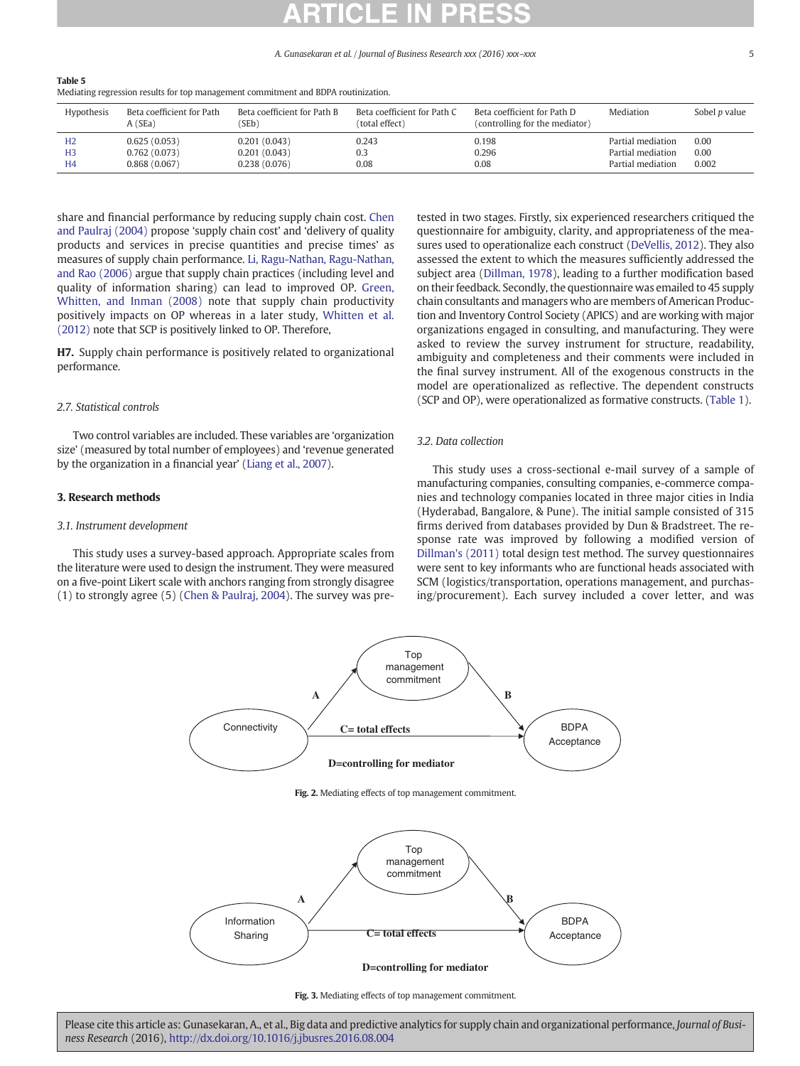<span id="page-4-0"></span>

| Table 5 |  |
|---------|--|
|---------|--|

Mediating regression results for top management commitment and BDPA routinization.

| Hypothesis     | Beta coefficient for Path<br>A (SEa) | Beta coefficient for Path B<br>(SEb) | Beta coefficient for Path C<br>(total effect) | Beta coefficient for Path D<br>(controlling for the mediator) | Mediation         | Sobel <i>p</i> value |
|----------------|--------------------------------------|--------------------------------------|-----------------------------------------------|---------------------------------------------------------------|-------------------|----------------------|
| H <sub>2</sub> | 0.625(0.053)                         | 0.201(0.043)                         | 0.243                                         | 0.198                                                         | Partial mediation | 0.00                 |
| H <sub>3</sub> | 0.762(0.073)                         | 0.201(0.043)                         | 0.3                                           | 0.296                                                         | Partial mediation | 0.00                 |
| H <sub>4</sub> | 0.868(0.067)                         | 0.238(0.076)                         | 0.08                                          | 0.08                                                          | Partial mediation | 0.002                |

share and financial performance by reducing supply chain cost. [Chen](#page-8-0) [and Paulraj \(2004\)](#page-8-0) propose 'supply chain cost' and 'delivery of quality products and services in precise quantities and precise times' as measures of supply chain performance. [Li, Ragu-Nathan, Ragu-Nathan,](#page-9-0) [and Rao \(2006\)](#page-9-0) argue that supply chain practices (including level and quality of information sharing) can lead to improved OP. [Green,](#page-8-0) [Whitten, and Inman \(2008\)](#page-8-0) note that supply chain productivity positively impacts on OP whereas in a later study, [Whitten et al.](#page-9-0) [\(2012\)](#page-9-0) note that SCP is positively linked to OP. Therefore,

H7. Supply chain performance is positively related to organizational performance.

#### 2.7. Statistical controls

Two control variables are included. These variables are 'organization size' (measured by total number of employees) and 'revenue generated by the organization in a financial year' ([Liang et al., 2007](#page-9-0)).

### 3. Research methods

#### 3.1. Instrument development

This study uses a survey-based approach. Appropriate scales from the literature were used to design the instrument. They were measured on a five-point Likert scale with anchors ranging from strongly disagree (1) to strongly agree (5) [\(Chen & Paulraj, 2004\)](#page-8-0). The survey was pretested in two stages. Firstly, six experienced researchers critiqued the questionnaire for ambiguity, clarity, and appropriateness of the measures used to operationalize each construct [\(DeVellis, 2012\)](#page-8-0). They also assessed the extent to which the measures sufficiently addressed the subject area [\(Dillman, 1978](#page-8-0)), leading to a further modification based on their feedback. Secondly, the questionnaire was emailed to 45 supply chain consultants and managers who are members of American Production and Inventory Control Society (APICS) and are working with major organizations engaged in consulting, and manufacturing. They were asked to review the survey instrument for structure, readability, ambiguity and completeness and their comments were included in the final survey instrument. All of the exogenous constructs in the model are operationalized as reflective. The dependent constructs (SCP and OP), were operationalized as formative constructs. ([Table 1](#page-2-0)).

### 3.2. Data collection

This study uses a cross-sectional e-mail survey of a sample of manufacturing companies, consulting companies, e-commerce companies and technology companies located in three major cities in India (Hyderabad, Bangalore, & Pune). The initial sample consisted of 315 firms derived from databases provided by Dun & Bradstreet. The response rate was improved by following a modified version of [Dillman's \(2011\)](#page-8-0) total design test method. The survey questionnaires were sent to key informants who are functional heads associated with SCM (logistics/transportation, operations management, and purchasing/procurement). Each survey included a cover letter, and was





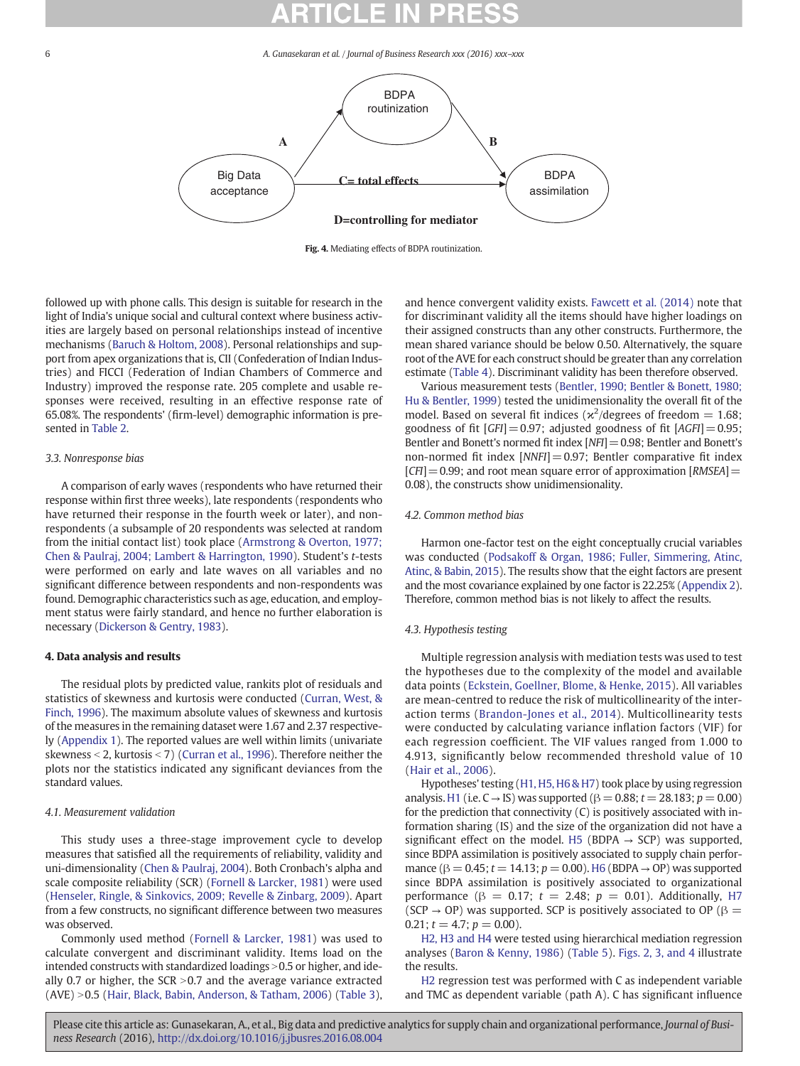

Fig. 4. Mediating effects of BDPA routinization.

followed up with phone calls. This design is suitable for research in the light of India's unique social and cultural context where business activities are largely based on personal relationships instead of incentive mechanisms ([Baruch & Holtom, 2008](#page-8-0)). Personal relationships and support from apex organizations that is, CII (Confederation of Indian Industries) and FICCI (Federation of Indian Chambers of Commerce and Industry) improved the response rate. 205 complete and usable responses were received, resulting in an effective response rate of 65.08%. The respondents' (firm-level) demographic information is presented in [Table 2](#page-3-0).

#### 3.3. Nonresponse bias

A comparison of early waves (respondents who have returned their response within first three weeks), late respondents (respondents who have returned their response in the fourth week or later), and nonrespondents (a subsample of 20 respondents was selected at random from the initial contact list) took place ([Armstrong & Overton, 1977;](#page-8-0) [Chen & Paulraj, 2004; Lambert & Harrington, 1990](#page-8-0)). Student's t-tests were performed on early and late waves on all variables and no significant difference between respondents and non-respondents was found. Demographic characteristics such as age, education, and employment status were fairly standard, and hence no further elaboration is necessary ([Dickerson & Gentry, 1983\)](#page-8-0).

#### 4. Data analysis and results

The residual plots by predicted value, rankits plot of residuals and statistics of skewness and kurtosis were conducted [\(Curran, West, &](#page-8-0) [Finch, 1996](#page-8-0)). The maximum absolute values of skewness and kurtosis of the measures in the remaining dataset were 1.67 and 2.37 respectively ([Appendix 1\)](#page-6-0). The reported values are well within limits (univariate skewness  $<$  2, kurtosis  $<$  7) ([Curran et al., 1996](#page-8-0)). Therefore neither the plots nor the statistics indicated any significant deviances from the standard values.

#### 4.1. Measurement validation

This study uses a three-stage improvement cycle to develop measures that satisfied all the requirements of reliability, validity and uni-dimensionality ([Chen & Paulraj, 2004](#page-8-0)). Both Cronbach's alpha and scale composite reliability (SCR) [\(Fornell & Larcker, 1981](#page-8-0)) were used [\(Henseler, Ringle, & Sinkovics, 2009; Revelle & Zinbarg, 2009\)](#page-8-0). Apart from a few constructs, no significant difference between two measures was observed.

Commonly used method ([Fornell & Larcker, 1981\)](#page-8-0) was used to calculate convergent and discriminant validity. Items load on the intended constructs with standardized loadings  $>0.5$  or higher, and ideally 0.7 or higher, the  $SCR > 0.7$  and the average variance extracted  $(AVE) > 0.5$  ([Hair, Black, Babin, Anderson, & Tatham, 2006\)](#page-8-0) [\(Table 3](#page-3-0)), and hence convergent validity exists. [Fawcett et al. \(2014\)](#page-8-0) note that for discriminant validity all the items should have higher loadings on their assigned constructs than any other constructs. Furthermore, the mean shared variance should be below 0.50. Alternatively, the square root of the AVE for each construct should be greater than any correlation estimate ([Table 4](#page-3-0)). Discriminant validity has been therefore observed.

Various measurement tests ([Bentler, 1990; Bentler & Bonett, 1980;](#page-8-0) [Hu & Bentler, 1999](#page-8-0)) tested the unidimensionality the overall fit of the model. Based on several fit indices ( $\alpha^2$ /degrees of freedom = 1.68; goodness of fit  $[GF] = 0.97$ ; adjusted goodness of fit  $[AGFI] = 0.95$ ; Bentler and Bonett's normed fit index [NFI]=0.98; Bentler and Bonett's non-normed fit index  $[NNF] = 0.97$ ; Bentler comparative fit index  $[CH] = 0.99$ ; and root mean square error of approximation  $[RMSEA] =$ 0.08), the constructs show unidimensionality.

#### 4.2. Common method bias

Harmon one-factor test on the eight conceptually crucial variables was conducted ([Podsakoff & Organ, 1986; Fuller, Simmering, Atinc,](#page-9-0) [Atinc, & Babin, 2015\)](#page-9-0). The results show that the eight factors are present and the most covariance explained by one factor is 22.25% ([Appendix 2\)](#page-7-0). Therefore, common method bias is not likely to affect the results.

### 4.3. Hypothesis testing

Multiple regression analysis with mediation tests was used to test the hypotheses due to the complexity of the model and available data points ([Eckstein, Goellner, Blome, & Henke, 2015](#page-8-0)). All variables are mean-centred to reduce the risk of multicollinearity of the interaction terms ([Brandon-Jones et al., 2014](#page-8-0)). Multicollinearity tests were conducted by calculating variance inflation factors (VIF) for each regression coefficient. The VIF values ranged from 1.000 to 4.913, significantly below recommended threshold value of 10 [\(Hair et al., 2006\)](#page-8-0).

Hypotheses' testing [\(H1, H5, H6 & H7](#page-1-0)) took place by using regression analysis. [H1](#page-1-0) (i.e. C → IS) was supported ( $\beta$  = 0.88; t = 28.183; p = 0.00) for the prediction that connectivity (C) is positively associated with information sharing (IS) and the size of the organization did not have a significant effect on the model. [H5](#page-3-0) (BDPA  $\rightarrow$  SCP) was supported, since BDPA assimilation is positively associated to supply chain performance ( $\beta = 0.45$ ;  $t = 14.13$ ;  $p = 0.00$ ). [H6](#page-3-0) (BDPA  $\rightarrow$  OP) was supported since BDPA assimilation is positively associated to organizational performance ( $\beta = 0.17$ ;  $t = 2.48$ ;  $p = 0.01$ ). Additionally, [H7](#page-4-0) (SCP  $\rightarrow$  OP) was supported. SCP is positively associated to OP ( $\beta$  = 0.21;  $t = 4.7$ ;  $p = 0.00$ ).

[H2, H3 and H4](#page-3-0) were tested using hierarchical mediation regression analyses ([Baron & Kenny, 1986\)](#page-8-0) [\(Table 5\)](#page-4-0). [Figs. 2, 3, and 4](#page-4-0) illustrate the results.

[H2](#page-3-0) regression test was performed with C as independent variable and TMC as dependent variable (path A). C has significant influence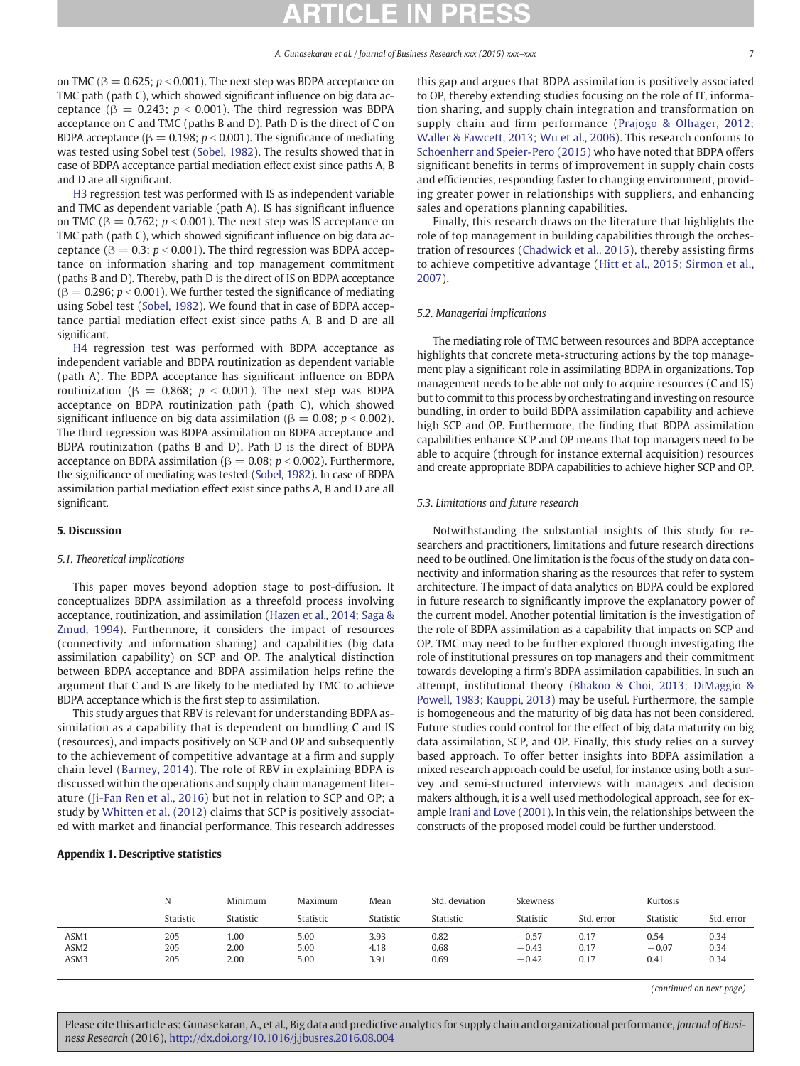<span id="page-6-0"></span>on TMC ( $\beta = 0.625$ ;  $p < 0.001$ ). The next step was BDPA acceptance on TMC path (path C), which showed significant influence on big data acceptance ( $\beta = 0.243$ ;  $p < 0.001$ ). The third regression was BDPA acceptance on C and TMC (paths B and D). Path D is the direct of C on BDPA acceptance ( $\beta = 0.198$ ;  $p < 0.001$ ). The significance of mediating was tested using Sobel test ([Sobel, 1982\)](#page-9-0). The results showed that in case of BDPA acceptance partial mediation effect exist since paths A, B and D are all significant.

[H3](#page-3-0) regression test was performed with IS as independent variable and TMC as dependent variable (path A). IS has significant influence on TMC ( $\beta = 0.762$ ;  $p < 0.001$ ). The next step was IS acceptance on TMC path (path C), which showed significant influence on big data acceptance ( $\beta = 0.3$ ;  $p < 0.001$ ). The third regression was BDPA acceptance on information sharing and top management commitment (paths B and D). Thereby, path D is the direct of IS on BDPA acceptance  $(\beta = 0.296; p < 0.001)$ . We further tested the significance of mediating using Sobel test ([Sobel, 1982\)](#page-9-0). We found that in case of BDPA acceptance partial mediation effect exist since paths A, B and D are all significant.

[H4](#page-3-0) regression test was performed with BDPA acceptance as independent variable and BDPA routinization as dependent variable (path A). The BDPA acceptance has significant influence on BDPA routinization ( $\beta = 0.868$ ;  $p < 0.001$ ). The next step was BDPA acceptance on BDPA routinization path (path C), which showed significant influence on big data assimilation ( $\beta = 0.08$ ;  $p < 0.002$ ). The third regression was BDPA assimilation on BDPA acceptance and BDPA routinization (paths B and D). Path D is the direct of BDPA acceptance on BDPA assimilation ( $\beta = 0.08$ ;  $p < 0.002$ ). Furthermore, the significance of mediating was tested [\(Sobel, 1982](#page-9-0)). In case of BDPA assimilation partial mediation effect exist since paths A, B and D are all significant.

#### 5. Discussion

#### 5.1. Theoretical implications

This paper moves beyond adoption stage to post-diffusion. It conceptualizes BDPA assimilation as a threefold process involving acceptance, routinization, and assimilation ([Hazen et al., 2014; Saga &](#page-8-0) [Zmud, 1994\)](#page-8-0). Furthermore, it considers the impact of resources (connectivity and information sharing) and capabilities (big data assimilation capability) on SCP and OP. The analytical distinction between BDPA acceptance and BDPA assimilation helps refine the argument that C and IS are likely to be mediated by TMC to achieve BDPA acceptance which is the first step to assimilation.

This study argues that RBV is relevant for understanding BDPA assimilation as a capability that is dependent on bundling C and IS (resources), and impacts positively on SCP and OP and subsequently to the achievement of competitive advantage at a firm and supply chain level ([Barney, 2014\)](#page-8-0). The role of RBV in explaining BDPA is discussed within the operations and supply chain management literature ([Ji-Fan Ren et al., 2016](#page-9-0)) but not in relation to SCP and OP; a study by [Whitten et al. \(2012\)](#page-9-0) claims that SCP is positively associated with market and financial performance. This research addresses

#### Appendix 1. Descriptive statistics

this gap and argues that BDPA assimilation is positively associated to OP, thereby extending studies focusing on the role of IT, information sharing, and supply chain integration and transformation on supply chain and firm performance ([Prajogo & Olhager, 2012;](#page-9-0) [Waller & Fawcett, 2013; Wu et al., 2006](#page-9-0)). This research conforms to [Schoenherr and Speier-Pero \(2015\)](#page-9-0) who have noted that BDPA offers significant benefits in terms of improvement in supply chain costs and efficiencies, responding faster to changing environment, providing greater power in relationships with suppliers, and enhancing sales and operations planning capabilities.

Finally, this research draws on the literature that highlights the role of top management in building capabilities through the orchestration of resources [\(Chadwick et al., 2015\)](#page-8-0), thereby assisting firms to achieve competitive advantage ([Hitt et al., 2015; Sirmon et al.,](#page-8-0) [2007](#page-8-0)).

#### 5.2. Managerial implications

The mediating role of TMC between resources and BDPA acceptance highlights that concrete meta-structuring actions by the top management play a significant role in assimilating BDPA in organizations. Top management needs to be able not only to acquire resources (C and IS) but to commit to this process by orchestrating and investing on resource bundling, in order to build BDPA assimilation capability and achieve high SCP and OP. Furthermore, the finding that BDPA assimilation capabilities enhance SCP and OP means that top managers need to be able to acquire (through for instance external acquisition) resources and create appropriate BDPA capabilities to achieve higher SCP and OP.

#### 5.3. Limitations and future research

Notwithstanding the substantial insights of this study for researchers and practitioners, limitations and future research directions need to be outlined. One limitation is the focus of the study on data connectivity and information sharing as the resources that refer to system architecture. The impact of data analytics on BDPA could be explored in future research to significantly improve the explanatory power of the current model. Another potential limitation is the investigation of the role of BDPA assimilation as a capability that impacts on SCP and OP. TMC may need to be further explored through investigating the role of institutional pressures on top managers and their commitment towards developing a firm's BDPA assimilation capabilities. In such an attempt, institutional theory [\(Bhakoo & Choi, 2013; DiMaggio &](#page-8-0) [Powell, 1983; Kauppi, 2013](#page-8-0)) may be useful. Furthermore, the sample is homogeneous and the maturity of big data has not been considered. Future studies could control for the effect of big data maturity on big data assimilation, SCP, and OP. Finally, this study relies on a survey based approach. To offer better insights into BDPA assimilation a mixed research approach could be useful, for instance using both a survey and semi-structured interviews with managers and decision makers although, it is a well used methodological approach, see for example [Irani and Love \(2001\)](#page-9-0). In this vein, the relationships between the constructs of the proposed model could be further understood.

|                  | N         | Minimum   | Maximum   | Mean      | Std. deviation | Skewness  |            | Kurtosis  |            |
|------------------|-----------|-----------|-----------|-----------|----------------|-----------|------------|-----------|------------|
|                  | Statistic | Statistic | Statistic | Statistic | Statistic      | Statistic | Std. error | Statistic | Std. error |
| ASM1             | 205       | .00       | 5.00      | 3.93      | 0.82           | $-0.57$   | 0.17       | 0.54      | 0.34       |
| ASM <sub>2</sub> | 205       | 2.00      | 5.00      | 4.18      | 0.68           | $-0.43$   | 0.17       | $-0.07$   | 0.34       |
| ASM3             | 205       | 2.00      | 5.00      | 3.91      | 0.69           | $-0.42$   | 0.17       | 0.41      | 0.34       |

(continued on next page)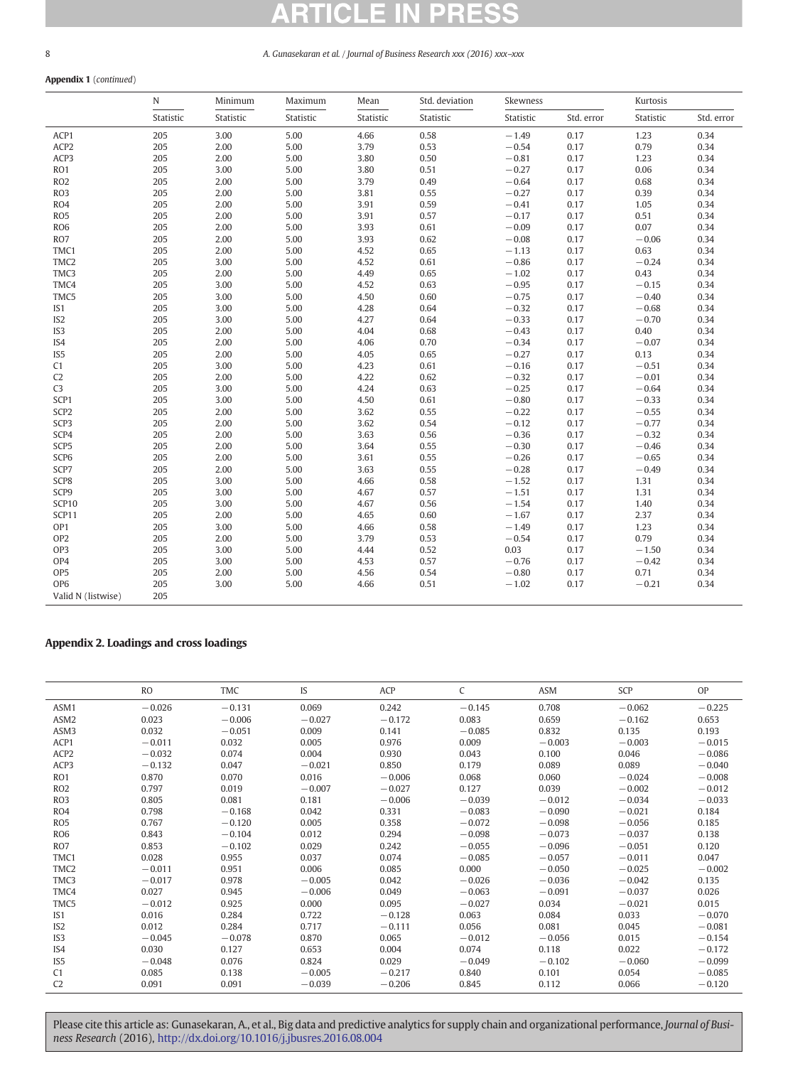### <span id="page-7-0"></span>A**ppendix 1** (continued)

|                    | N         | Minimum   | Maximum   | Mean      | Std. deviation | Skewness  |            | Kurtosis  |            |
|--------------------|-----------|-----------|-----------|-----------|----------------|-----------|------------|-----------|------------|
|                    | Statistic | Statistic | Statistic | Statistic | Statistic      | Statistic | Std. error | Statistic | Std. error |
| ACP1               | 205       | 3.00      | 5.00      | 4.66      | 0.58           | $-1.49$   | 0.17       | 1.23      | 0.34       |
| ACP <sub>2</sub>   | 205       | 2.00      | 5.00      | 3.79      | 0.53           | $-0.54$   | 0.17       | 0.79      | 0.34       |
| ACP3               | 205       | 2.00      | 5.00      | 3.80      | 0.50           | $-0.81$   | 0.17       | 1.23      | 0.34       |
| RO <sub>1</sub>    | 205       | 3.00      | 5.00      | 3.80      | 0.51           | $-0.27$   | 0.17       | 0.06      | 0.34       |
| RO <sub>2</sub>    | 205       | 2.00      | 5.00      | 3.79      | 0.49           | $-0.64$   | 0.17       | 0.68      | 0.34       |
| RO <sub>3</sub>    | 205       | 2.00      | 5.00      | 3.81      | 0.55           | $-0.27$   | 0.17       | 0.39      | 0.34       |
| RO4                | 205       | 2.00      | 5.00      | 3.91      | 0.59           | $-0.41$   | 0.17       | 1.05      | 0.34       |
| RO <sub>5</sub>    | 205       | 2.00      | 5.00      | 3.91      | 0.57           | $-0.17$   | 0.17       | 0.51      | 0.34       |
| RO <sub>6</sub>    | 205       | 2.00      | 5.00      | 3.93      | 0.61           | $-0.09$   | 0.17       | 0.07      | 0.34       |
| RO7                | 205       | 2.00      | 5.00      | 3.93      | 0.62           | $-0.08$   | 0.17       | $-0.06$   | 0.34       |
| TMC1               | 205       | 2.00      | 5.00      | 4.52      | 0.65           | $-1.13$   | 0.17       | 0.63      | 0.34       |
| TMC <sub>2</sub>   | 205       | 3.00      | 5.00      | 4.52      | 0.61           | $-0.86$   | 0.17       | $-0.24$   | 0.34       |
| TMC3               | 205       | 2.00      | 5.00      | 4.49      | 0.65           | $-1.02$   | 0.17       | 0.43      | 0.34       |
| TMC4               | 205       | 3.00      | 5.00      | 4.52      | 0.63           | $-0.95$   | 0.17       | $-0.15$   | 0.34       |
| TMC5               | 205       | 3.00      | 5.00      | 4.50      | 0.60           | $-0.75$   | 0.17       | $-0.40$   | 0.34       |
| IS1                | 205       | 3.00      | 5.00      | 4.28      | 0.64           | $-0.32$   | 0.17       | $-0.68$   | 0.34       |
| IS <sub>2</sub>    | 205       | 3.00      | 5.00      | 4.27      | 0.64           | $-0.33$   | 0.17       | $-0.70$   | 0.34       |
| IS3                | 205       | 2.00      | 5.00      | 4.04      | 0.68           | $-0.43$   | 0.17       | 0.40      | 0.34       |
| IS4                | 205       | 2.00      | 5.00      | 4.06      | 0.70           | $-0.34$   | 0.17       | $-0.07$   | 0.34       |
| IS <sub>5</sub>    | 205       | 2.00      | 5.00      | 4.05      | 0.65           | $-0.27$   | 0.17       | 0.13      | 0.34       |
| C1                 | 205       | 3.00      | 5.00      | 4.23      | 0.61           | $-0.16$   | 0.17       | $-0.51$   | 0.34       |
| C <sub>2</sub>     | 205       | 2.00      | 5.00      | 4.22      | 0.62           | $-0.32$   | 0.17       | $-0.01$   | 0.34       |
| C <sub>3</sub>     | 205       | 3.00      | 5.00      | 4.24      | 0.63           | $-0.25$   | 0.17       | $-0.64$   | 0.34       |
| SCP1               | 205       | 3.00      | 5.00      | 4.50      | 0.61           | $-0.80$   | 0.17       | $-0.33$   | 0.34       |
| SCP <sub>2</sub>   | 205       | 2.00      | 5.00      | 3.62      | 0.55           | $-0.22$   | 0.17       | $-0.55$   | 0.34       |
| SCP3               | 205       | 2.00      | 5.00      | 3.62      | 0.54           | $-0.12$   | 0.17       | $-0.77$   | 0.34       |
| SCP4               | 205       | 2.00      | 5.00      | 3.63      | 0.56           | $-0.36$   | 0.17       | $-0.32$   | 0.34       |
| SCP5               | 205       | 2.00      | 5.00      | 3.64      | 0.55           | $-0.30$   | 0.17       | $-0.46$   | 0.34       |
| SCP <sub>6</sub>   | 205       | 2.00      | 5.00      | 3.61      | 0.55           | $-0.26$   | 0.17       | $-0.65$   | 0.34       |
| SCP7               | 205       | 2.00      | 5.00      | 3.63      | 0.55           | $-0.28$   | 0.17       | $-0.49$   | 0.34       |
| SCP8               | 205       | 3.00      | 5.00      | 4.66      | 0.58           | $-1.52$   | 0.17       | 1.31      | 0.34       |
| SCP9               | 205       | 3.00      | 5.00      | 4.67      | 0.57           | $-1.51$   | 0.17       | 1.31      | 0.34       |
| SCP10              | 205       | 3.00      | 5.00      | 4.67      | 0.56           | $-1.54$   | 0.17       | 1.40      | 0.34       |
| SCP11              | 205       | 2.00      | 5.00      | 4.65      | 0.60           | $-1.67$   | 0.17       | 2.37      | 0.34       |
| OP1                | 205       | 3.00      | 5.00      | 4.66      | 0.58           | $-1.49$   | 0.17       | 1.23      | 0.34       |
| OP <sub>2</sub>    | 205       | 2.00      | 5.00      | 3.79      | 0.53           | $-0.54$   | 0.17       | 0.79      | 0.34       |
| OP3                | 205       | 3.00      | 5.00      | 4.44      | 0.52           | 0.03      | 0.17       | $-1.50$   | 0.34       |
| OP4                | 205       | 3.00      | 5.00      | 4.53      | 0.57           | $-0.76$   | 0.17       | $-0.42$   | 0.34       |
| OP <sub>5</sub>    | 205       | 2.00      | 5.00      | 4.56      | 0.54           | $-0.80$   | 0.17       | 0.71      | 0.34       |
| OP <sub>6</sub>    | 205       | 3.00      | 5.00      | 4.66      | 0.51           | $-1.02$   | 0.17       | $-0.21$   | 0.34       |
| Valid N (listwise) | 205       |           |           |           |                |           |            |           |            |

### Appendix 2. Loadings and cross loadings

|                  | <b>RO</b> | <b>TMC</b> | IS       | <b>ACP</b> | C        | <b>ASM</b> | SCP      | <b>OP</b> |
|------------------|-----------|------------|----------|------------|----------|------------|----------|-----------|
| ASM1             | $-0.026$  | $-0.131$   | 0.069    | 0.242      | $-0.145$ | 0.708      | $-0.062$ | $-0.225$  |
| ASM <sub>2</sub> | 0.023     | $-0.006$   | $-0.027$ | $-0.172$   | 0.083    | 0.659      | $-0.162$ | 0.653     |
| ASM3             | 0.032     | $-0.051$   | 0.009    | 0.141      | $-0.085$ | 0.832      | 0.135    | 0.193     |
| ACP1             | $-0.011$  | 0.032      | 0.005    | 0.976      | 0.009    | $-0.003$   | $-0.003$ | $-0.015$  |
| ACP <sub>2</sub> | $-0.032$  | 0.074      | 0.004    | 0.930      | 0.043    | 0.100      | 0.046    | $-0.086$  |
| ACP3             | $-0.132$  | 0.047      | $-0.021$ | 0.850      | 0.179    | 0.089      | 0.089    | $-0.040$  |
| RO <sub>1</sub>  | 0.870     | 0.070      | 0.016    | $-0.006$   | 0.068    | 0.060      | $-0.024$ | $-0.008$  |
| RO <sub>2</sub>  | 0.797     | 0.019      | $-0.007$ | $-0.027$   | 0.127    | 0.039      | $-0.002$ | $-0.012$  |
| RO <sub>3</sub>  | 0.805     | 0.081      | 0.181    | $-0.006$   | $-0.039$ | $-0.012$   | $-0.034$ | $-0.033$  |
| RO4              | 0.798     | $-0.168$   | 0.042    | 0.331      | $-0.083$ | $-0.090$   | $-0.021$ | 0.184     |
| RO <sub>5</sub>  | 0.767     | $-0.120$   | 0.005    | 0.358      | $-0.072$ | $-0.098$   | $-0.056$ | 0.185     |
| RO <sub>6</sub>  | 0.843     | $-0.104$   | 0.012    | 0.294      | $-0.098$ | $-0.073$   | $-0.037$ | 0.138     |
| RO7              | 0.853     | $-0.102$   | 0.029    | 0.242      | $-0.055$ | $-0.096$   | $-0.051$ | 0.120     |
| TMC1             | 0.028     | 0.955      | 0.037    | 0.074      | $-0.085$ | $-0.057$   | $-0.011$ | 0.047     |
| TMC <sub>2</sub> | $-0.011$  | 0.951      | 0.006    | 0.085      | 0.000    | $-0.050$   | $-0.025$ | $-0.002$  |
| TMC3             | $-0.017$  | 0.978      | $-0.005$ | 0.042      | $-0.026$ | $-0.036$   | $-0.042$ | 0.135     |
| TMC4             | 0.027     | 0.945      | $-0.006$ | 0.049      | $-0.063$ | $-0.091$   | $-0.037$ | 0.026     |
| TMC5             | $-0.012$  | 0.925      | 0.000    | 0.095      | $-0.027$ | 0.034      | $-0.021$ | 0.015     |
| IS <sub>1</sub>  | 0.016     | 0.284      | 0.722    | $-0.128$   | 0.063    | 0.084      | 0.033    | $-0.070$  |
| IS <sub>2</sub>  | 0.012     | 0.284      | 0.717    | $-0.111$   | 0.056    | 0.081      | 0.045    | $-0.081$  |
| IS <sub>3</sub>  | $-0.045$  | $-0.078$   | 0.870    | 0.065      | $-0.012$ | $-0.056$   | 0.015    | $-0.154$  |
| IS4              | 0.030     | 0.127      | 0.653    | 0.004      | 0.074    | 0.118      | 0.022    | $-0.172$  |
| IS <sub>5</sub>  | $-0.048$  | 0.076      | 0.824    | 0.029      | $-0.049$ | $-0.102$   | $-0.060$ | $-0.099$  |
| C1               | 0.085     | 0.138      | $-0.005$ | $-0.217$   | 0.840    | 0.101      | 0.054    | $-0.085$  |
| C <sub>2</sub>   | 0.091     | 0.091      | $-0.039$ | $-0.206$   | 0.845    | 0.112      | 0.066    | $-0.120$  |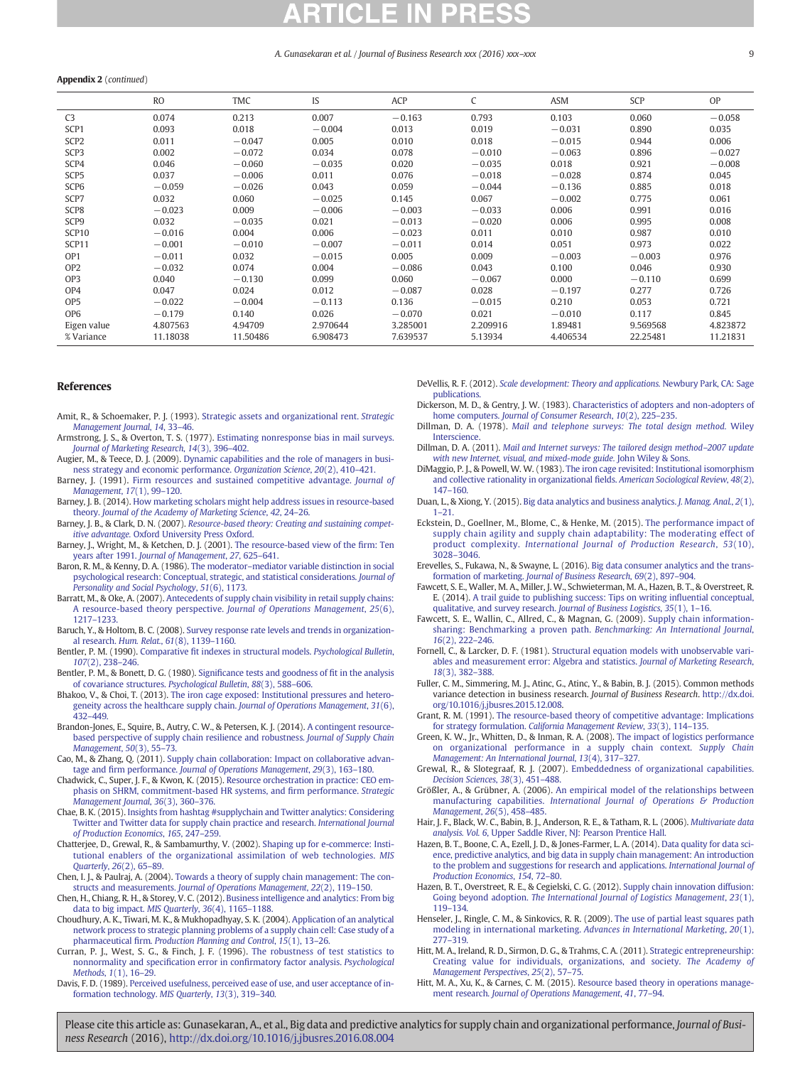#### <span id="page-8-0"></span>**Appendix 2** (continued)

|                   | <b>RO</b> | <b>TMC</b> | IS       | ACP      | C        | <b>ASM</b> | SCP      | <b>OP</b> |
|-------------------|-----------|------------|----------|----------|----------|------------|----------|-----------|
| C <sub>3</sub>    | 0.074     | 0.213      | 0.007    | $-0.163$ | 0.793    | 0.103      | 0.060    | $-0.058$  |
| SCP <sub>1</sub>  | 0.093     | 0.018      | $-0.004$ | 0.013    | 0.019    | $-0.031$   | 0.890    | 0.035     |
| SCP <sub>2</sub>  | 0.011     | $-0.047$   | 0.005    | 0.010    | 0.018    | $-0.015$   | 0.944    | 0.006     |
| SCP <sub>3</sub>  | 0.002     | $-0.072$   | 0.034    | 0.078    | $-0.010$ | $-0.063$   | 0.896    | $-0.027$  |
| SCP4              | 0.046     | $-0.060$   | $-0.035$ | 0.020    | $-0.035$ | 0.018      | 0.921    | $-0.008$  |
| SCP <sub>5</sub>  | 0.037     | $-0.006$   | 0.011    | 0.076    | $-0.018$ | $-0.028$   | 0.874    | 0.045     |
| SCP <sub>6</sub>  | $-0.059$  | $-0.026$   | 0.043    | 0.059    | $-0.044$ | $-0.136$   | 0.885    | 0.018     |
| SCP7              | 0.032     | 0.060      | $-0.025$ | 0.145    | 0.067    | $-0.002$   | 0.775    | 0.061     |
| SCP8              | $-0.023$  | 0.009      | $-0.006$ | $-0.003$ | $-0.033$ | 0.006      | 0.991    | 0.016     |
| SCP <sub>9</sub>  | 0.032     | $-0.035$   | 0.021    | $-0.013$ | $-0.020$ | 0.006      | 0.995    | 0.008     |
| SCP10             | $-0.016$  | 0.004      | 0.006    | $-0.023$ | 0.011    | 0.010      | 0.987    | 0.010     |
| SCP <sub>11</sub> | $-0.001$  | $-0.010$   | $-0.007$ | $-0.011$ | 0.014    | 0.051      | 0.973    | 0.022     |
| OP <sub>1</sub>   | $-0.011$  | 0.032      | $-0.015$ | 0.005    | 0.009    | $-0.003$   | $-0.003$ | 0.976     |
| OP <sub>2</sub>   | $-0.032$  | 0.074      | 0.004    | $-0.086$ | 0.043    | 0.100      | 0.046    | 0.930     |
| OP3               | 0.040     | $-0.130$   | 0.099    | 0.060    | $-0.067$ | 0.000      | $-0.110$ | 0.699     |
| OP4               | 0.047     | 0.024      | 0.012    | $-0.087$ | 0.028    | $-0.197$   | 0.277    | 0.726     |
| OP <sub>5</sub>   | $-0.022$  | $-0.004$   | $-0.113$ | 0.136    | $-0.015$ | 0.210      | 0.053    | 0.721     |
| OP <sub>6</sub>   | $-0.179$  | 0.140      | 0.026    | $-0.070$ | 0.021    | $-0.010$   | 0.117    | 0.845     |
| Eigen value       | 4.807563  | 4.94709    | 2.970644 | 3.285001 | 2.209916 | 1.89481    | 9.569568 | 4.823872  |
| % Variance        | 11.18038  | 11.50486   | 6.908473 | 7.639537 | 5.13934  | 4.406534   | 22.25481 | 11.21831  |

#### **References**

- Amit, R., & Schoemaker, P. J. (1993). [Strategic assets and organizational rent.](http://refhub.elsevier.com/S0148-2963(16)30491-X/rf0005) Strategic [Management Journal](http://refhub.elsevier.com/S0148-2963(16)30491-X/rf0005), 14, 33–46.
- Armstrong, J. S., & Overton, T. S. (1977). [Estimating nonresponse bias in mail surveys.](http://refhub.elsevier.com/S0148-2963(16)30491-X/rf0010) [Journal of Marketing Research](http://refhub.elsevier.com/S0148-2963(16)30491-X/rf0010), 14(3), 396–402.
- Augier, M., & Teece, D. J. (2009). [Dynamic capabilities and the role of managers in busi](http://refhub.elsevier.com/S0148-2963(16)30491-X/rf0015)[ness strategy and economic performance.](http://refhub.elsevier.com/S0148-2963(16)30491-X/rf0015) Organization Science, 20(2), 410–421.
- Barney, J. (1991). [Firm resources and sustained competitive advantage.](http://refhub.elsevier.com/S0148-2963(16)30491-X/rf0020) Journal of [Management](http://refhub.elsevier.com/S0148-2963(16)30491-X/rf0020), 17(1), 99–120.
- Barney, J. B. (2014). [How marketing scholars might help address issues in resource-based](http://refhub.elsevier.com/S0148-2963(16)30491-X/rf0025) theory. [Journal of the Academy of Marketing Science](http://refhub.elsevier.com/S0148-2963(16)30491-X/rf0025), 42, 24–26.
- Barney, J. B., & Clark, D. N. (2007). [Resource-based theory: Creating and sustaining compet](http://refhub.elsevier.com/S0148-2963(16)30491-X/rf0030)itive advantage. [Oxford University Press Oxford.](http://refhub.elsevier.com/S0148-2963(16)30491-X/rf0030)
- Barney, J., Wright, M., & Ketchen, D. J. (2001). [The resource-based view of the](http://refhub.elsevier.com/S0148-2963(16)30491-X/rf0035) firm: Ten years after 1991. [Journal of Management](http://refhub.elsevier.com/S0148-2963(16)30491-X/rf0035), 27, 625–641.
- Baron, R. M., & Kenny, D. A. (1986). The moderator–[mediator variable distinction in social](http://refhub.elsevier.com/S0148-2963(16)30491-X/rf0040) [psychological research: Conceptual, strategic, and statistical considerations.](http://refhub.elsevier.com/S0148-2963(16)30491-X/rf0040) Journal of [Personality and Social Psychology](http://refhub.elsevier.com/S0148-2963(16)30491-X/rf0040), 51(6), 1173.
- Barratt, M., & Oke, A. (2007). [Antecedents of supply chain visibility in retail supply chains:](http://refhub.elsevier.com/S0148-2963(16)30491-X/rf0045) [A resource-based theory perspective.](http://refhub.elsevier.com/S0148-2963(16)30491-X/rf0045) Journal of Operations Management, 25(6), 1217–[1233.](http://refhub.elsevier.com/S0148-2963(16)30491-X/rf0045)
- Baruch, Y., & Holtom, B. C. (2008). [Survey response rate levels and trends in organization](http://refhub.elsevier.com/S0148-2963(16)30491-X/rf0050)[al research.](http://refhub.elsevier.com/S0148-2963(16)30491-X/rf0050) Hum. Relat., 61(8), 1139–1160.
- Bentler, P. M. (1990). Comparative fi[t indexes in structural models.](http://refhub.elsevier.com/S0148-2963(16)30491-X/rf0055) Psychological Bulletin, 107[\(2\), 238](http://refhub.elsevier.com/S0148-2963(16)30491-X/rf0055)–246.
- Bentler, P. M., & Bonett, D. G. (1980). Signifi[cance tests and goodness of](http://refhub.elsevier.com/S0148-2963(16)30491-X/rf0060) fit in the analysis [of covariance structures.](http://refhub.elsevier.com/S0148-2963(16)30491-X/rf0060) Psychological Bulletin, 88(3), 588–606.
- Bhakoo, V., & Choi, T. (2013). [The iron cage exposed: Institutional pressures and hetero](http://refhub.elsevier.com/S0148-2963(16)30491-X/rf0065)[geneity across the healthcare supply chain.](http://refhub.elsevier.com/S0148-2963(16)30491-X/rf0065) Journal of Operations Management, 31(6), 432–[449.](http://refhub.elsevier.com/S0148-2963(16)30491-X/rf0065)
- Brandon-Jones, E., Squire, B., Autry, C. W., & Petersen, K. J. (2014). [A contingent resource](http://refhub.elsevier.com/S0148-2963(16)30491-X/rf0070)[based perspective of supply chain resilience and robustness.](http://refhub.elsevier.com/S0148-2963(16)30491-X/rf0070) Journal of Supply Chain [Management](http://refhub.elsevier.com/S0148-2963(16)30491-X/rf0070), 50(3), 55–73.
- Cao, M., & Zhang, Q. (2011). [Supply chain collaboration: Impact on collaborative advan](http://refhub.elsevier.com/S0148-2963(16)30491-X/rf0075)tage and firm performance. [Journal of Operations Management](http://refhub.elsevier.com/S0148-2963(16)30491-X/rf0075), 29(3), 163–180.
- Chadwick, C., Super, J. F., & Kwon, K. (2015). [Resource orchestration in practice: CEO em](http://refhub.elsevier.com/S0148-2963(16)30491-X/rf0080)[phasis on SHRM, commitment-based HR systems, and](http://refhub.elsevier.com/S0148-2963(16)30491-X/rf0080) firm performance. Strategic [Management Journal](http://refhub.elsevier.com/S0148-2963(16)30491-X/rf0080), 36(3), 360–376.
- Chae, B. K. (2015). [Insights from hashtag #supplychain and Twitter analytics: Considering](http://refhub.elsevier.com/S0148-2963(16)30491-X/rf0085) [Twitter and Twitter data for supply chain practice and research.](http://refhub.elsevier.com/S0148-2963(16)30491-X/rf0085) International Journal [of Production Economics](http://refhub.elsevier.com/S0148-2963(16)30491-X/rf0085), 165, 247–259.
- Chatterjee, D., Grewal, R., & Sambamurthy, V. (2002). [Shaping up for e-commerce: Insti](http://refhub.elsevier.com/S0148-2963(16)30491-X/rf0090)[tutional enablers of the organizational assimilation of web technologies.](http://refhub.elsevier.com/S0148-2963(16)30491-X/rf0090) MIS [Quarterly](http://refhub.elsevier.com/S0148-2963(16)30491-X/rf0090), 26(2), 65–89.
- Chen, I. J., & Paulraj, A. (2004). [Towards a theory of supply chain management: The con](http://refhub.elsevier.com/S0148-2963(16)30491-X/rf0095)structs and measurements. [Journal of Operations Management](http://refhub.elsevier.com/S0148-2963(16)30491-X/rf0095), 22(2), 119–150.
- Chen, H., Chiang, R. H., & Storey, V. C. (2012). [Business intelligence and analytics: From big](http://refhub.elsevier.com/S0148-2963(16)30491-X/rf0100) [data to big impact.](http://refhub.elsevier.com/S0148-2963(16)30491-X/rf0100) MIS Quarterly, 36(4), 1165–1188.
- Choudhury, A. K., Tiwari, M. K., & Mukhopadhyay, S. K. (2004). [Application of an analytical](http://refhub.elsevier.com/S0148-2963(16)30491-X/rf0105) [network process to strategic planning problems of a supply chain cell: Case study of a](http://refhub.elsevier.com/S0148-2963(16)30491-X/rf0105) pharmaceutical firm. [Production Planning and Control](http://refhub.elsevier.com/S0148-2963(16)30491-X/rf0105), 15(1), 13–26.
- Curran, P. J., West, S. G., & Finch, J. F. (1996). [The robustness of test statistics to](http://refhub.elsevier.com/S0148-2963(16)30491-X/rf0110) [nonnormality and speci](http://refhub.elsevier.com/S0148-2963(16)30491-X/rf0110)fication error in confirmatory factor analysis. Psychological [Methods](http://refhub.elsevier.com/S0148-2963(16)30491-X/rf0110), 1(1), 16–29.
- Davis, F. D. (1989). [Perceived usefulness, perceived ease of use, and user acceptance of in](http://refhub.elsevier.com/S0148-2963(16)30491-X/rf0115)[formation technology.](http://refhub.elsevier.com/S0148-2963(16)30491-X/rf0115) MIS Quarterly, 13(3), 319–340.
- DeVellis, R. F. (2012). [Scale development: Theory and applications.](http://refhub.elsevier.com/S0148-2963(16)30491-X/rf0120) Newbury Park, CA: Sage [publications.](http://refhub.elsevier.com/S0148-2963(16)30491-X/rf0120)
- Dickerson, M. D., & Gentry, J. W. (1983). [Characteristics of adopters and non-adopters of](http://refhub.elsevier.com/S0148-2963(16)30491-X/rf0125) home computers. [Journal of Consumer Research](http://refhub.elsevier.com/S0148-2963(16)30491-X/rf0125), 10(2), 225–235.
- Dillman, D. A. (1978). [Mail and telephone surveys: The total design method.](http://refhub.elsevier.com/S0148-2963(16)30491-X/rf0130) Wiley [Interscience.](http://refhub.elsevier.com/S0148-2963(16)30491-X/rf0130)
- Dillman, D. A. (2011). [Mail and Internet surveys: The tailored design method](http://refhub.elsevier.com/S0148-2963(16)30491-X/rf0135)–2007 update [with new Internet, visual, and mixed-mode guide.](http://refhub.elsevier.com/S0148-2963(16)30491-X/rf0135) John Wiley & Sons.
- DiMaggio, P. J., & Powell, W. W. (1983). [The iron cage revisited: Institutional isomorphism](http://refhub.elsevier.com/S0148-2963(16)30491-X/rf0140) [and collective rationality in organizational](http://refhub.elsevier.com/S0148-2963(16)30491-X/rf0140) fields. American Sociological Review, 48(2), 147–[160.](http://refhub.elsevier.com/S0148-2963(16)30491-X/rf0140)
- Duan, L., & Xiong, Y. (2015). [Big data analytics and business analytics.](http://refhub.elsevier.com/S0148-2963(16)30491-X/rf0145) J. Manag. Anal., 2(1), 1–[21.](http://refhub.elsevier.com/S0148-2963(16)30491-X/rf0145)
- Eckstein, D., Goellner, M., Blome, C., & Henke, M. (2015). [The performance impact of](http://refhub.elsevier.com/S0148-2963(16)30491-X/rf0150) [supply chain agility and supply chain adaptability: The moderating effect of](http://refhub.elsevier.com/S0148-2963(16)30491-X/rf0150) product complexity. [International Journal of Production Research](http://refhub.elsevier.com/S0148-2963(16)30491-X/rf0150), 53(10), 3028–[3046.](http://refhub.elsevier.com/S0148-2963(16)30491-X/rf0150)
- Erevelles, S., Fukawa, N., & Swayne, L. (2016). [Big data consumer analytics and the trans](http://refhub.elsevier.com/S0148-2963(16)30491-X/rf0155)formation of marketing. [Journal of Business Research](http://refhub.elsevier.com/S0148-2963(16)30491-X/rf0155), 69(2), 897–904.
- Fawcett, S. E., Waller, M. A., Miller, J. W., Schwieterman, M. A., Hazen, B. T., & Overstreet, R. E. (2014). [A trail guide to publishing success: Tips on writing in](http://refhub.elsevier.com/S0148-2963(16)30491-X/rf0160)fluential conceptual, [qualitative, and survey research.](http://refhub.elsevier.com/S0148-2963(16)30491-X/rf0160) Journal of Business Logistics, 35(1), 1–16.
- Fawcett, S. E., Wallin, C., Allred, C., & Magnan, G. (2009). [Supply chain information](http://refhub.elsevier.com/S0148-2963(16)30491-X/rf0165)[sharing: Benchmarking a proven path.](http://refhub.elsevier.com/S0148-2963(16)30491-X/rf0165) Benchmarking: An International Journal, 16[\(2\), 222](http://refhub.elsevier.com/S0148-2963(16)30491-X/rf0165)–246.
- Fornell, C., & Larcker, D. F. (1981). [Structural equation models with unobservable vari](http://refhub.elsevier.com/S0148-2963(16)30491-X/rf0170)[ables and measurement error: Algebra and statistics.](http://refhub.elsevier.com/S0148-2963(16)30491-X/rf0170) Journal of Marketing Research, 18[\(3\), 382](http://refhub.elsevier.com/S0148-2963(16)30491-X/rf0170)–388.
- Fuller, C. M., Simmering, M. J., Atinc, G., Atinc, Y., & Babin, B. J. (2015). Common methods variance detection in business research. Journal of Business Research. http://dx.doi. org[/10.1016/j.jbusres.2015.12.008](http://dx.doi.org/10.1016/j.jbusres.2015.12.008).
- Grant, R. M. (1991). [The resource-based theory of competitive advantage: Implications](http://refhub.elsevier.com/S0148-2963(16)30491-X/rf0180) for strategy formulation. [California Management Review](http://refhub.elsevier.com/S0148-2963(16)30491-X/rf0180), 33(3), 114–135.
- Green, K. W., Jr., Whitten, D., & Inman, R. A. (2008). [The impact of logistics performance](http://refhub.elsevier.com/S0148-2963(16)30491-X/rf0185) [on organizational performance in a supply chain context.](http://refhub.elsevier.com/S0148-2963(16)30491-X/rf0185) Supply Chain [Management: An International Journal](http://refhub.elsevier.com/S0148-2963(16)30491-X/rf0185), 13(4), 317–327.
- Grewal, R., & Slotegraaf, R. J. (2007). [Embeddedness of organizational capabilities.](http://refhub.elsevier.com/S0148-2963(16)30491-X/rf0190) [Decision Sciences](http://refhub.elsevier.com/S0148-2963(16)30491-X/rf0190), 38(3), 451–488.
- Größler, A., & Grübner, A. (2006). [An empirical model of the relationships between](http://refhub.elsevier.com/S0148-2963(16)30491-X/rf0195) manufacturing capabilities. [International Journal of Operations & Production](http://refhub.elsevier.com/S0148-2963(16)30491-X/rf0195) [Management](http://refhub.elsevier.com/S0148-2963(16)30491-X/rf0195), 26(5), 458–485.
- Hair, J. F., Black, W. C., Babin, B. J., Anderson, R. E., & Tatham, R. L. (2006). [Multivariate data](http://refhub.elsevier.com/S0148-2963(16)30491-X/rf0200) analysis. Vol. 6[, Upper Saddle River, NJ: Pearson Prentice Hall.](http://refhub.elsevier.com/S0148-2963(16)30491-X/rf0200)
- Hazen, B. T., Boone, C. A., Ezell, J. D., & Jones-Farmer, L. A. (2014). [Data quality for data sci](http://refhub.elsevier.com/S0148-2963(16)30491-X/rf0205)[ence, predictive analytics, and big data in supply chain management: An introduction](http://refhub.elsevier.com/S0148-2963(16)30491-X/rf0205) [to the problem and suggestions for research and applications.](http://refhub.elsevier.com/S0148-2963(16)30491-X/rf0205) International Journal of [Production Economics](http://refhub.elsevier.com/S0148-2963(16)30491-X/rf0205), 154, 72–80.
- Hazen, B. T., Overstreet, R. E., & Cegielski, C. G. (2012). [Supply chain innovation diffusion:](http://refhub.elsevier.com/S0148-2963(16)30491-X/rf0210) Going beyond adoption. [The International Journal of Logistics Management](http://refhub.elsevier.com/S0148-2963(16)30491-X/rf0210), 23(1), 119–[134.](http://refhub.elsevier.com/S0148-2963(16)30491-X/rf0210)
- Henseler, J., Ringle, C. M., & Sinkovics, R. R. (2009). [The use of partial least squares path](http://refhub.elsevier.com/S0148-2963(16)30491-X/rf0215) [modeling in international marketing.](http://refhub.elsevier.com/S0148-2963(16)30491-X/rf0215) Advances in International Marketing, 20(1), 277–[319.](http://refhub.elsevier.com/S0148-2963(16)30491-X/rf0215)
- Hitt, M. A., Ireland, R. D., Sirmon, D. G., & Trahms, C. A. (2011). [Strategic entrepreneurship:](http://refhub.elsevier.com/S0148-2963(16)30491-X/rf0220) [Creating value for individuals, organizations, and society.](http://refhub.elsevier.com/S0148-2963(16)30491-X/rf0220) The Academy of [Management Perspectives](http://refhub.elsevier.com/S0148-2963(16)30491-X/rf0220), 25(2), 57–75.
- Hitt, M. A., Xu, K., & Carnes, C. M. (2015). [Resource based theory in operations manage](http://refhub.elsevier.com/S0148-2963(16)30491-X/rf0225)ment research. [Journal of Operations Management](http://refhub.elsevier.com/S0148-2963(16)30491-X/rf0225), 41, 77–94.